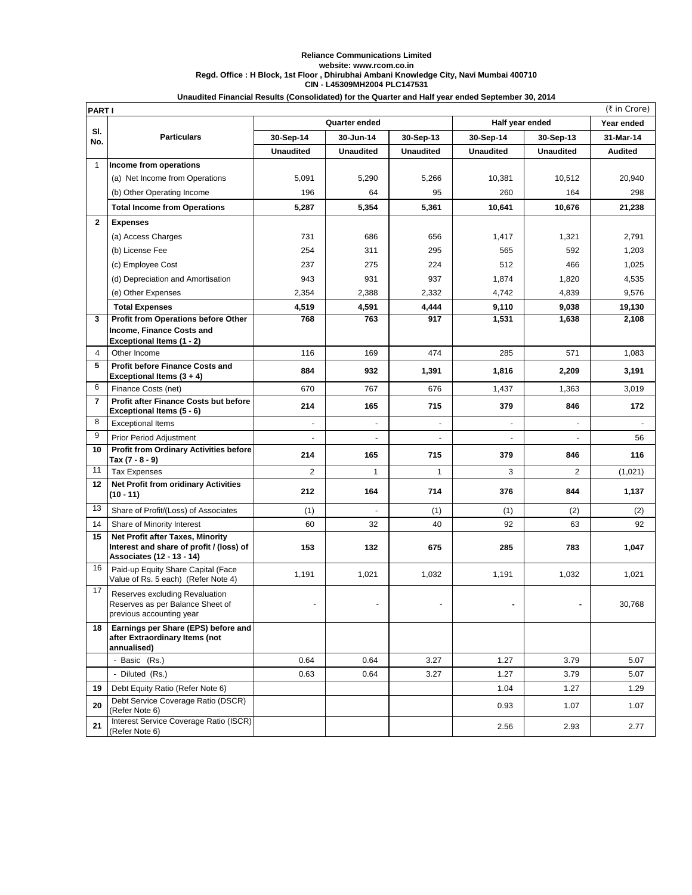## **Reliance Communications Limited website: www.rcom.co.in Regd. Office : H Block, 1st Floor , Dhirubhai Ambani Knowledge City, Navi Mumbai 400710 CIN - L45309MH2004 PLC147531 Unaudited Financial Results (Consolidated) for the Quarter and Half year ended September 30, 2014**

|                | (₹ in Crore)<br><b>PARTI</b>                                                                              |                  |                          |                  |                  |                  |                |  |
|----------------|-----------------------------------------------------------------------------------------------------------|------------------|--------------------------|------------------|------------------|------------------|----------------|--|
|                |                                                                                                           | Quarter ended    |                          |                  | Half year ended  | Year ended       |                |  |
| SI.<br>No.     | <b>Particulars</b>                                                                                        | 30-Sep-14        | 30-Jun-14                | 30-Sep-13        | 30-Sep-14        | 30-Sep-13        | 31-Mar-14      |  |
|                |                                                                                                           | <b>Unaudited</b> | <b>Unaudited</b>         | <b>Unaudited</b> | <b>Unaudited</b> | <b>Unaudited</b> | <b>Audited</b> |  |
| $\mathbf{1}$   | Income from operations                                                                                    |                  |                          |                  |                  |                  |                |  |
|                | (a) Net Income from Operations                                                                            | 5,091            | 5,290                    | 5,266            | 10,381           | 10,512           | 20,940         |  |
|                | (b) Other Operating Income                                                                                | 196              | 64                       | 95               | 260              | 164              | 298            |  |
|                | <b>Total Income from Operations</b>                                                                       | 5,287            | 5,354                    | 5,361            | 10,641           | 10,676           | 21,238         |  |
| $\mathbf{2}$   | <b>Expenses</b>                                                                                           |                  |                          |                  |                  |                  |                |  |
|                | (a) Access Charges                                                                                        | 731              | 686                      | 656              | 1,417            | 1,321            | 2,791          |  |
|                | (b) License Fee                                                                                           | 254              | 311                      | 295              | 565              | 592              | 1,203          |  |
|                | (c) Employee Cost                                                                                         | 237              | 275                      | 224              | 512              | 466              | 1,025          |  |
|                | (d) Depreciation and Amortisation                                                                         | 943              | 931                      | 937              | 1,874            | 1,820            | 4,535          |  |
|                | (e) Other Expenses                                                                                        | 2,354            | 2,388                    | 2,332            | 4,742            | 4,839            | 9,576          |  |
|                | <b>Total Expenses</b>                                                                                     | 4,519            | 4,591                    | 4,444            | 9,110            | 9,038            | 19,130         |  |
| 3              | Profit from Operations before Other                                                                       | 768              | 763                      | 917              | 1,531            | 1,638            | 2,108          |  |
|                | Income, Finance Costs and                                                                                 |                  |                          |                  |                  |                  |                |  |
| 4              | Exceptional Items (1 - 2)<br>Other Income                                                                 | 116              | 169                      | 474              | 285              | 571              | 1,083          |  |
| 5              | <b>Profit before Finance Costs and</b>                                                                    |                  |                          |                  |                  |                  |                |  |
|                | Exceptional Items (3 + 4)                                                                                 | 884              | 932                      | 1,391            | 1,816            | 2,209            | 3,191          |  |
| 6              | Finance Costs (net)                                                                                       | 670              | 767                      | 676              | 1,437            | 1,363            | 3,019          |  |
| $\overline{7}$ | Profit after Finance Costs but before<br>Exceptional Items (5 - 6)                                        | 214              | 165                      | 715              | 379              | 846              | 172            |  |
| 8              | <b>Exceptional Items</b>                                                                                  |                  | $\blacksquare$           | $\blacksquare$   |                  | $\blacksquare$   |                |  |
| 9              | <b>Prior Period Adjustment</b>                                                                            |                  | $\overline{\phantom{a}}$ |                  |                  | ÷.               | 56             |  |
| 10             | <b>Profit from Ordinary Activities before</b><br>Tax (7 - 8 - 9)                                          | 214              | 165                      | 715              | 379              | 846              | 116            |  |
| 11             | <b>Tax Expenses</b>                                                                                       | 2                | $\mathbf{1}$             | $\mathbf{1}$     | 3                | 2                | (1,021)        |  |
| 12             | <b>Net Profit from oridinary Activities</b><br>$(10 - 11)$                                                | 212              | 164                      | 714              | 376              | 844              | 1,137          |  |
| 13             | Share of Profit/(Loss) of Associates                                                                      | (1)              |                          | (1)              | (1)              | (2)              | (2)            |  |
| 14             | Share of Minority Interest                                                                                | 60               | 32                       | 40               | 92               | 63               | 92             |  |
| 15             | Net Profit after Taxes, Minority<br>Interest and share of profit / (loss) of<br>Associates (12 - 13 - 14) | 153              | 132                      | 675              | 285              | 783              | 1,047          |  |
| 16             | Paid-up Equity Share Capital (Face<br>Value of Rs. 5 each) (Refer Note 4)                                 | 1,191            | 1,021                    | 1,032            | 1,191            | 1,032            | 1,021          |  |
| 17             | Reserves excluding Revaluation<br>Reserves as per Balance Sheet of<br>previous accounting year            |                  |                          |                  |                  |                  | 30,768         |  |
| 18             | Earnings per Share (EPS) before and<br>after Extraordinary Items (not<br>annualised)                      |                  |                          |                  |                  |                  |                |  |
|                | - Basic (Rs.)                                                                                             | 0.64             | 0.64                     | 3.27             | 1.27             | 3.79             | 5.07           |  |
|                | - Diluted (Rs.)                                                                                           | 0.63             | 0.64                     | 3.27             | 1.27             | 3.79             | 5.07           |  |
| 19             | Debt Equity Ratio (Refer Note 6)                                                                          |                  |                          |                  | 1.04             | 1.27             | 1.29           |  |
| 20             | Debt Service Coverage Ratio (DSCR)<br>(Refer Note 6)                                                      |                  |                          |                  | 0.93             | 1.07             | 1.07           |  |
| 21             | Interest Service Coverage Ratio (ISCR)<br>(Refer Note 6)                                                  |                  |                          |                  | 2.56             | 2.93             | 2.77           |  |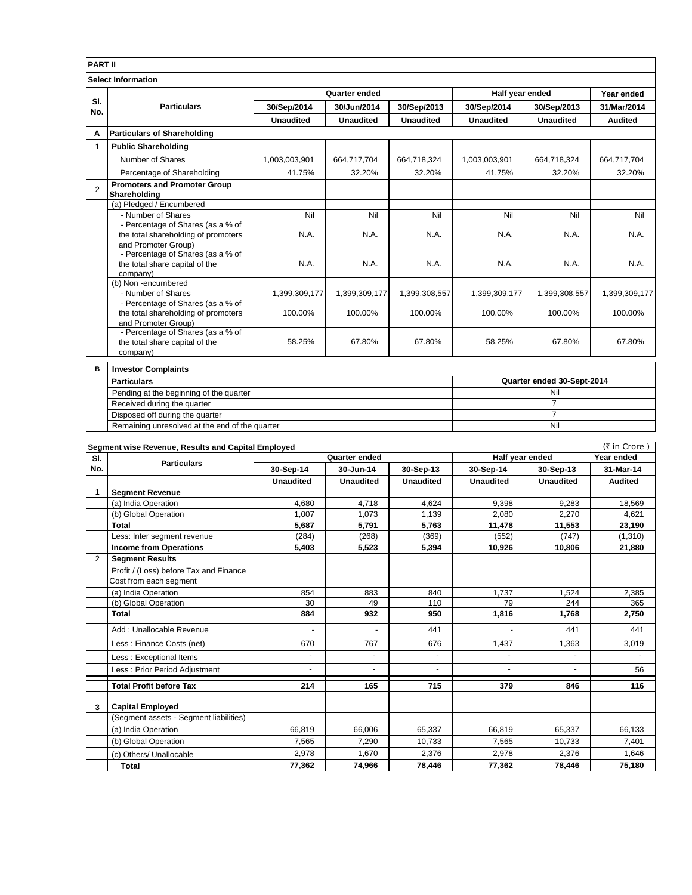| <b>PART II</b>            |                                                                        |                  |                  |                  |                            |                  |                |  |
|---------------------------|------------------------------------------------------------------------|------------------|------------------|------------------|----------------------------|------------------|----------------|--|
| <b>Select Information</b> |                                                                        |                  |                  |                  |                            |                  |                |  |
|                           | <b>Particulars</b>                                                     | Quarter ended    |                  |                  | Half year ended            |                  | Year ended     |  |
| SI.<br>No.                |                                                                        | 30/Sep/2014      | 30/Jun/2014      | 30/Sep/2013      | 30/Sep/2014                | 30/Sep/2013      | 31/Mar/2014    |  |
|                           |                                                                        | <b>Unaudited</b> | <b>Unaudited</b> | <b>Unaudited</b> | <b>Unaudited</b>           | <b>Unaudited</b> | <b>Audited</b> |  |
| А                         | <b>Particulars of Shareholding</b>                                     |                  |                  |                  |                            |                  |                |  |
| 1                         | <b>Public Shareholding</b>                                             |                  |                  |                  |                            |                  |                |  |
|                           | Number of Shares                                                       | 1,003,003,901    | 664,717,704      | 664,718,324      | 1,003,003,901              | 664,718,324      | 664,717,704    |  |
|                           | Percentage of Shareholding                                             | 41.75%           | 32.20%           | 32.20%           | 41.75%                     | 32.20%           | 32.20%         |  |
| $\overline{2}$            | <b>Promoters and Promoter Group</b><br>Shareholding                    |                  |                  |                  |                            |                  |                |  |
|                           | (a) Pledged / Encumbered                                               |                  |                  |                  |                            |                  |                |  |
|                           | - Number of Shares                                                     | Nil              | Nil              | Nil              | Nil                        | Nil              | Nil            |  |
|                           | - Percentage of Shares (as a % of                                      |                  |                  |                  |                            |                  |                |  |
|                           | the total shareholding of promoters                                    | N.A.             | N.A.             | N.A.             | N.A.                       | N.A.             | N.A.           |  |
|                           | and Promoter Group)                                                    |                  |                  |                  |                            |                  |                |  |
|                           | - Percentage of Shares (as a % of<br>the total share capital of the    | N.A.             | N.A.             | N.A.             | N.A.                       | N.A.             | N.A.           |  |
|                           | company)                                                               |                  |                  |                  |                            |                  |                |  |
|                           | (b) Non-encumbered                                                     |                  |                  |                  |                            |                  |                |  |
|                           | - Number of Shares                                                     | 1,399,309,177    | 1,399,309,177    | 1,399,308,557    | 1,399,309,177              | 1,399,308,557    | 1,399,309,177  |  |
|                           | - Percentage of Shares (as a % of                                      |                  |                  |                  |                            |                  |                |  |
|                           | the total shareholding of promoters                                    | 100.00%          | 100.00%          | 100.00%          | 100.00%                    | 100.00%          | 100.00%        |  |
|                           | and Promoter Group)                                                    |                  |                  |                  |                            |                  |                |  |
|                           | - Percentage of Shares (as a % of                                      |                  |                  |                  |                            |                  |                |  |
|                           | the total share capital of the                                         | 58.25%           | 67.80%           | 67.80%           | 58.25%                     | 67.80%           | 67.80%         |  |
|                           | company)                                                               |                  |                  |                  |                            |                  |                |  |
| в                         | <b>Investor Complaints</b>                                             |                  |                  |                  |                            |                  |                |  |
|                           | <b>Particulars</b>                                                     |                  |                  |                  | Quarter ended 30-Sept-2014 |                  |                |  |
|                           | Pending at the beginning of the quarter<br>Received during the quarter |                  |                  |                  | Nil                        |                  |                |  |
|                           |                                                                        |                  |                  |                  | $\overline{7}$             |                  |                |  |

7 Nil

Disposed off during the quarter

Remaining unresolved at the end of the quarter

|     | Segment wise Revenue, Results and Capital Employed               |                  |                  |                  |                  |                  | (₹ in Crore)   |
|-----|------------------------------------------------------------------|------------------|------------------|------------------|------------------|------------------|----------------|
| SI. | <b>Particulars</b>                                               | Quarter ended    |                  |                  | Half year ended  |                  | Year ended     |
| No. |                                                                  | 30-Sep-14        | 30-Jun-14        | 30-Sep-13        | 30-Sep-14        | 30-Sep-13        | 31-Mar-14      |
|     |                                                                  | <b>Unaudited</b> | <b>Unaudited</b> | <b>Unaudited</b> | <b>Unaudited</b> | <b>Unaudited</b> | <b>Audited</b> |
|     | <b>Segment Revenue</b>                                           |                  |                  |                  |                  |                  |                |
|     | (a) India Operation                                              | 4.680            | 4.718            | 4.624            | 9,398            | 9,283            | 18.569         |
|     | (b) Global Operation                                             | 1,007            | 1.073            | 1,139            | 2,080            | 2,270            | 4,621          |
|     | Total                                                            | 5,687            | 5,791            | 5,763            | 11,478           | 11,553           | 23,190         |
|     | Less: Inter segment revenue                                      | (284)            | (268)            | (369)            | (552)            | (747)            | (1,310)        |
|     | <b>Income from Operations</b>                                    | 5,403            | 5,523            | 5,394            | 10,926           | 10,806           | 21,880         |
| 2   | <b>Segment Results</b>                                           |                  |                  |                  |                  |                  |                |
|     | Profit / (Loss) before Tax and Finance<br>Cost from each segment |                  |                  |                  |                  |                  |                |
|     | (a) India Operation                                              | 854              | 883              | 840              | 1.737            | 1,524            | 2,385          |
|     | (b) Global Operation                                             | 30               | 49               | 110              | 79               | 244              | 365            |
|     | Total                                                            | 884              | 932              | 950              | 1,816            | 1,768            | 2,750          |
|     | Add: Unallocable Revenue                                         | $\blacksquare$   | $\overline{a}$   | 441              | ٠                | 441              | 441            |
|     | Less: Finance Costs (net)                                        | 670              | 767              | 676              | 1,437            | 1,363            | 3,019          |
|     | Less: Exceptional Items                                          |                  |                  |                  |                  |                  |                |
|     | Less: Prior Period Adjustment                                    |                  |                  |                  |                  |                  | 56             |
|     | <b>Total Profit before Tax</b>                                   | 214              | 165              | 715              | 379              | 846              | 116            |
| 3   | <b>Capital Employed</b>                                          |                  |                  |                  |                  |                  |                |
|     | (Segment assets - Segment liabilities)                           |                  |                  |                  |                  |                  |                |
|     | (a) India Operation                                              | 66,819           | 66,006           | 65,337           | 66,819           | 65,337           | 66,133         |
|     | (b) Global Operation                                             | 7,565            | 7.290            | 10.733           | 7,565            | 10.733           | 7.401          |
|     | (c) Others/ Unallocable                                          | 2,978            | 1,670            | 2,376            | 2,978            | 2,376            | 1,646          |
|     | <b>Total</b>                                                     | 77,362           | 74,966           | 78,446           | 77,362           | 78,446           | 75,180         |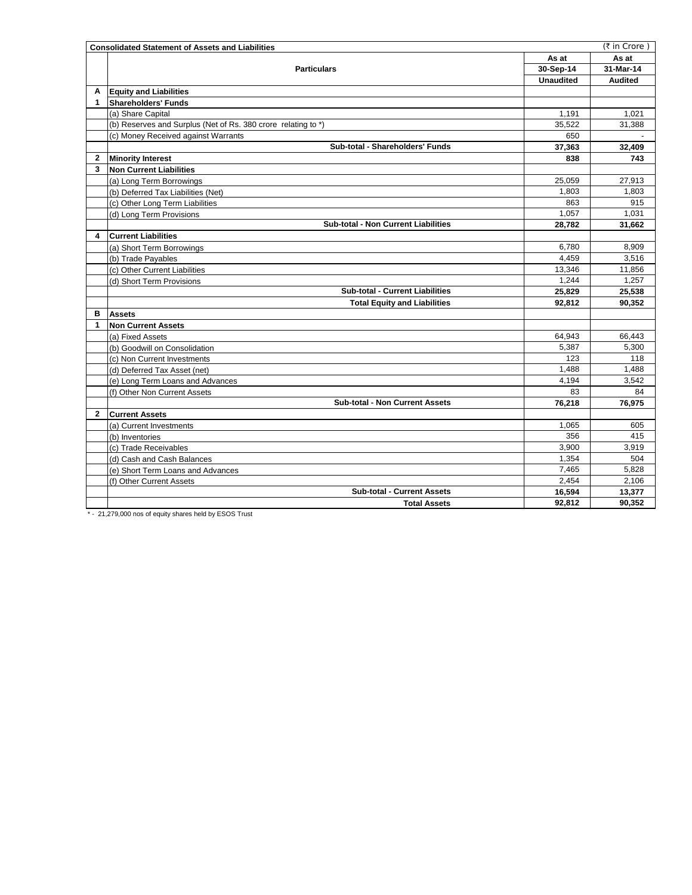|              | <b>Consolidated Statement of Assets and Liabilities</b>       |                  | (₹ in Crore)   |
|--------------|---------------------------------------------------------------|------------------|----------------|
|              |                                                               | As at            | As at          |
|              | <b>Particulars</b>                                            | 30-Sep-14        | 31-Mar-14      |
|              |                                                               | <b>Unaudited</b> | <b>Audited</b> |
| Α            | <b>Equity and Liabilities</b>                                 |                  |                |
| 1            | <b>Shareholders' Funds</b>                                    |                  |                |
|              | (a) Share Capital                                             | 1,191            | 1,021          |
|              | (b) Reserves and Surplus (Net of Rs. 380 crore relating to *) | 35,522           | 31,388         |
|              | (c) Money Received against Warrants                           | 650              |                |
|              | Sub-total - Shareholders' Funds                               | 37,363           | 32,409         |
| $\mathbf{2}$ | <b>Minority Interest</b>                                      | 838              | 743            |
| 3            | <b>Non Current Liabilities</b>                                |                  |                |
|              | (a) Long Term Borrowings                                      | 25,059           | 27,913         |
|              | (b) Deferred Tax Liabilities (Net)                            | 1,803            | 1,803          |
|              | (c) Other Long Term Liabilities                               | 863              | 915            |
|              | (d) Long Term Provisions                                      | 1,057            | 1,031          |
|              | <b>Sub-total - Non Current Liabilities</b>                    | 28,782           | 31,662         |
| 4            | <b>Current Liabilities</b>                                    |                  |                |
|              | (a) Short Term Borrowings                                     | 6,780            | 8,909          |
|              | (b) Trade Payables                                            | 4.459            | 3,516          |
|              | (c) Other Current Liabilities                                 | 13,346           | 11,856         |
|              | (d) Short Term Provisions                                     | 1,244            | 1,257          |
|              | <b>Sub-total - Current Liabilities</b>                        | 25,829           | 25,538         |
|              | <b>Total Equity and Liabilities</b>                           | 92.812           | 90.352         |
| в            | <b>Assets</b>                                                 |                  |                |
| 1            | <b>Non Current Assets</b>                                     |                  |                |
|              | (a) Fixed Assets                                              | 64,943           | 66,443         |
|              | (b) Goodwill on Consolidation                                 | 5,387            | 5,300          |
|              | (c) Non Current Investments                                   | 123              | 118            |
|              | (d) Deferred Tax Asset (net)                                  | 1,488            | 1,488          |
|              | (e) Long Term Loans and Advances                              | 4,194            | 3,542          |
|              | (f) Other Non Current Assets                                  | 83               | 84             |
|              | <b>Sub-total - Non Current Assets</b>                         | 76,218           | 76,975         |
| $\mathbf{2}$ | <b>Current Assets</b>                                         |                  |                |
|              | (a) Current Investments                                       | 1,065            | 605            |
|              | (b) Inventories                                               | 356              | 415            |
|              | (c) Trade Receivables                                         | 3.900            | 3,919          |
|              | (d) Cash and Cash Balances                                    | 1,354            | 504            |
|              | (e) Short Term Loans and Advances                             | 7.465            | 5.828          |
|              | (f) Other Current Assets                                      | 2,454            | 2,106          |
|              | <b>Sub-total - Current Assets</b>                             | 16,594           | 13,377         |
|              | <b>Total Assets</b><br>111.770007<br>270.000                  | 92,812           | 90,352         |

\* - 21,279,000 nos of equity shares held by ESOS Trust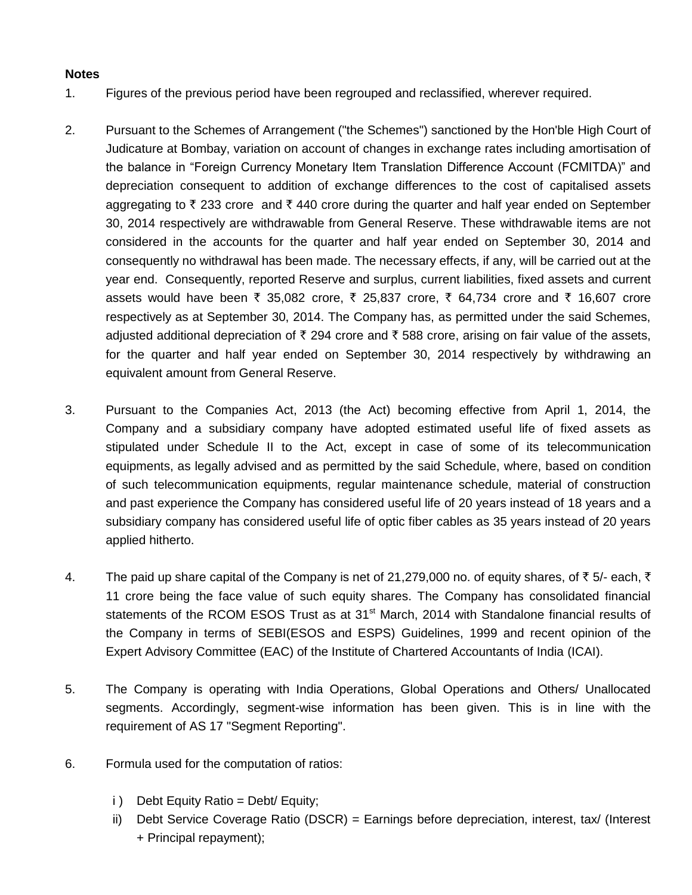## **Notes**

- 1. Figures of the previous period have been regrouped and reclassified, wherever required.
- 2. Pursuant to the Schemes of Arrangement ("the Schemes") sanctioned by the Hon'ble High Court of Judicature at Bombay, variation on account of changes in exchange rates including amortisation of the balance in "Foreign Currency Monetary Item Translation Difference Account (FCMITDA)" and depreciation consequent to addition of exchange differences to the cost of capitalised assets aggregating to  $\bar{\tau}$  233 crore and  $\bar{\tau}$  440 crore during the quarter and half year ended on September 30, 2014 respectively are withdrawable from General Reserve. These withdrawable items are not considered in the accounts for the quarter and half year ended on September 30, 2014 and consequently no withdrawal has been made. The necessary effects, if any, will be carried out at the year end. Consequently, reported Reserve and surplus, current liabilities, fixed assets and current assets would have been ₹ 35,082 crore, ₹ 25,837 crore, ₹ 64,734 crore and ₹ 16,607 crore respectively as at September 30, 2014. The Company has, as permitted under the said Schemes, adjusted additional depreciation of  $\bar{\tau}$  294 crore and  $\bar{\tau}$  588 crore, arising on fair value of the assets, for the quarter and half year ended on September 30, 2014 respectively by withdrawing an equivalent amount from General Reserve.
- 3. Pursuant to the Companies Act, 2013 (the Act) becoming effective from April 1, 2014, the Company and a subsidiary company have adopted estimated useful life of fixed assets as stipulated under Schedule II to the Act, except in case of some of its telecommunication equipments, as legally advised and as permitted by the said Schedule, where, based on condition of such telecommunication equipments, regular maintenance schedule, material of construction and past experience the Company has considered useful life of 20 years instead of 18 years and a subsidiary company has considered useful life of optic fiber cables as 35 years instead of 20 years applied hitherto.
- 4. The paid up share capital of the Company is net of 21,279,000 no. of equity shares, of  $\bar{z}$  5/- each,  $\bar{z}$ 11 crore being the face value of such equity shares. The Company has consolidated financial statements of the RCOM ESOS Trust as at 31<sup>st</sup> March, 2014 with Standalone financial results of the Company in terms of SEBI(ESOS and ESPS) Guidelines, 1999 and recent opinion of the Expert Advisory Committee (EAC) of the Institute of Chartered Accountants of India (ICAI).
- 5. The Company is operating with India Operations, Global Operations and Others/ Unallocated segments. Accordingly, segment-wise information has been given. This is in line with the requirement of AS 17 "Segment Reporting".
- 6. Formula used for the computation of ratios:
	- i ) Debt Equity Ratio = Debt/ Equity;
	- ii) Debt Service Coverage Ratio (DSCR) = Earnings before depreciation, interest, tax/ (Interest + Principal repayment);